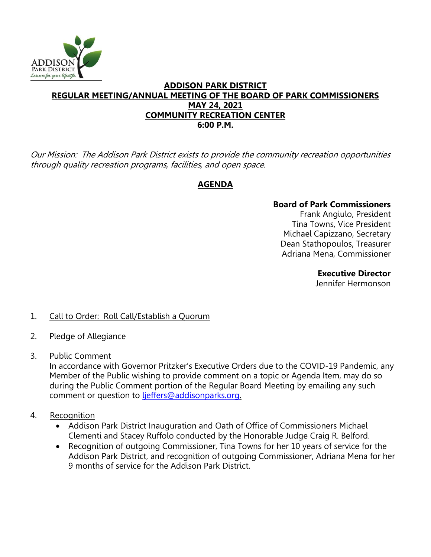

#### **ADDISON PARK DISTRICT REGULAR MEETING/ANNUAL MEETING OF THE BOARD OF PARK COMMISSIONERS MAY 24, 2021 COMMUNITY RECREATION CENTER 6:00 P.M.**

Our Mission: The Addison Park District exists to provide the community recreation opportunities through quality recreation programs, facilities, and open space.

## **AGENDA**

### **Board of Park Commissioners**

Frank Angiulo, President Tina Towns, Vice President Michael Capizzano, Secretary Dean Stathopoulos, Treasurer Adriana Mena, Commissioner

> **Executive Director**  Jennifer Hermonson

#### 1. Call to Order: Roll Call/Establish a Quorum

- 2. Pledge of Allegiance
- 3. Public Comment

In accordance with Governor Pritzker's Executive Orders due to the COVID-19 Pandemic, any Member of the Public wishing to provide comment on a topic or Agenda Item, may do so during the Public Comment portion of the Regular Board Meeting by emailing any such comment or question to [ljeffers@addisonparks.org.](mailto:ljeffers@addisonparks.org)

- 4. Recognition
	- Addison Park District Inauguration and Oath of Office of Commissioners Michael Clementi and Stacey Ruffolo conducted by the Honorable Judge Craig R. Belford.
	- Recognition of outgoing Commissioner, Tina Towns for her 10 years of service for the Addison Park District, and recognition of outgoing Commissioner, Adriana Mena for her 9 months of service for the Addison Park District.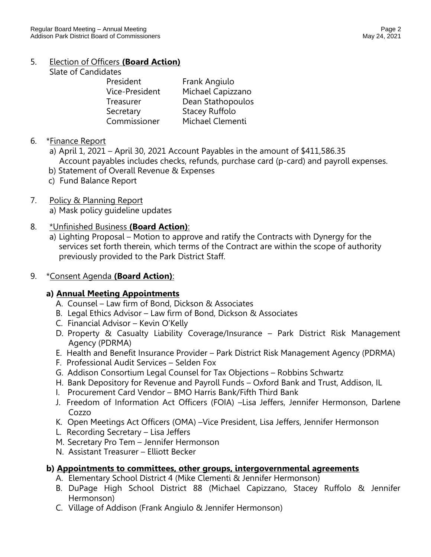# 5. Election of Officers **(Board Action)**

Slate of Candidates

| Frank Angiulo         |
|-----------------------|
| Michael Capizzano     |
| Dean Stathopoulos     |
| <b>Stacey Ruffolo</b> |
| Michael Clementi      |
|                       |

### 6. \*Finance Report

- a) April 1, 2021 April 30, 2021 Account Payables in the amount of \$411,586.35 Account payables includes checks, refunds, purchase card (p-card) and payroll expenses.
- b) Statement of Overall Revenue & Expenses
- c) Fund Balance Report
- 7. Policy & Planning Report a) Mask policy guideline updates

### 8. \*Unfinished Business **(Board Action)**:

a) Lighting Proposal – Motion to approve and ratify the Contracts with Dynergy for the services set forth therein, which terms of the Contract are within the scope of authority previously provided to the Park District Staff.

### 9. \*Consent Agenda **(Board Action)**:

## **a) Annual Meeting Appointments**

- A. Counsel Law firm of Bond, Dickson & Associates
- B. Legal Ethics Advisor Law firm of Bond, Dickson & Associates
- C. Financial Advisor Kevin O'Kelly
- D. Property & Casualty Liability Coverage/Insurance Park District Risk Management Agency (PDRMA)
- E. Health and Benefit Insurance Provider Park District Risk Management Agency (PDRMA)
- F. Professional Audit Services Selden Fox
- G. Addison Consortium Legal Counsel for Tax Objections Robbins Schwartz
- H. Bank Depository for Revenue and Payroll Funds Oxford Bank and Trust, Addison, IL
- I. Procurement Card Vendor BMO Harris Bank/Fifth Third Bank
- J. Freedom of Information Act Officers (FOIA) –Lisa Jeffers, Jennifer Hermonson, Darlene Cozzo
- K. Open Meetings Act Officers (OMA) –Vice President, Lisa Jeffers, Jennifer Hermonson
- L. Recording Secretary Lisa Jeffers
- M. Secretary Pro Tem Jennifer Hermonson
- N. Assistant Treasurer Elliott Becker

## **b) Appointments to committees, other groups, intergovernmental agreements**

- A. Elementary School District 4 (Mike Clementi & Jennifer Hermonson)
- B. DuPage High School District 88 (Michael Capizzano, Stacey Ruffolo & Jennifer Hermonson)
- C. Village of Addison (Frank Angiulo & Jennifer Hermonson)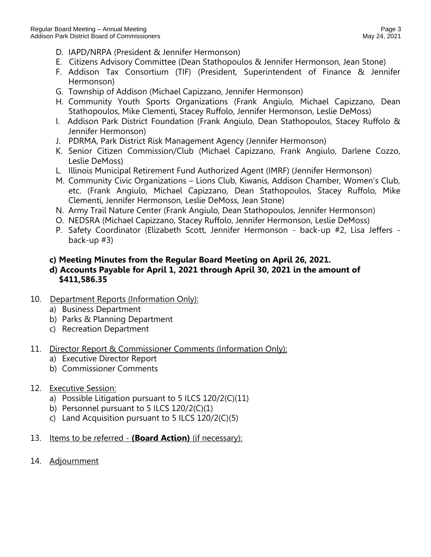- D. IAPD/NRPA (President & Jennifer Hermonson)
- E. Citizens Advisory Committee (Dean Stathopoulos & Jennifer Hermonson, Jean Stone)
- F. Addison Tax Consortium (TIF) (President, Superintendent of Finance & Jennifer Hermonson)
- G. Township of Addison (Michael Capizzano, Jennifer Hermonson)
- H. Community Youth Sports Organizations (Frank Angiulo, Michael Capizzano, Dean Stathopoulos, Mike Clementi, Stacey Ruffolo, Jennifer Hermonson, Leslie DeMoss)
- I. Addison Park District Foundation (Frank Angiulo, Dean Stathopoulos, Stacey Ruffolo & Jennifer Hermonson)
- J. PDRMA, Park District Risk Management Agency (Jennifer Hermonson)
- K. Senior Citizen Commission/Club (Michael Capizzano, Frank Angiulo, Darlene Cozzo, Leslie DeMoss)
- L. Illinois Municipal Retirement Fund Authorized Agent (IMRF) (Jennifer Hermonson)
- M. Community Civic Organizations Lions Club, Kiwanis, Addison Chamber, Women's Club, etc. (Frank Angiulo, Michael Capizzano, Dean Stathopoulos, Stacey Ruffolo, Mike Clementi, Jennifer Hermonson, Leslie DeMoss, Jean Stone)
- N. Army Trail Nature Center (Frank Angiulo, Dean Stathopoulos, Jennifer Hermonson)
- O. NEDSRA (Michael Capizzano, Stacey Ruffolo, Jennifer Hermonson, Leslie DeMoss)
- P. Safety Coordinator (Elizabeth Scott, Jennifer Hermonson back-up #2, Lisa Jeffers back-up #3)

#### **c) Meeting Minutes from the Regular Board Meeting on April 26, 2021.**

#### **d) Accounts Payable for April 1, 2021 through April 30, 2021 in the amount of \$411,586.35**

- 10. Department Reports (Information Only):
	- a) Business Department
	- b) Parks & Planning Department
	- c) Recreation Department

#### 11. Director Report & Commissioner Comments (Information Only):

- a) Executive Director Report
- b) Commissioner Comments
- 12. Executive Session:
	- a) Possible Litigation pursuant to 5 ILCS 120/2(C)(11)
	- b) Personnel pursuant to 5 ILCS 120/2(C)(1)
	- c) Land Acquisition pursuant to 5 ILCS 120/2(C)(5)
- 13. Items to be referred **(Board Action)** (if necessary):
- 14. Adjournment